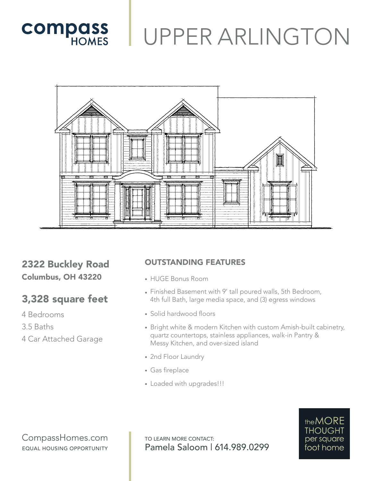



## 2322 Buckley Road Columbus, OH 43220

## 3,328 square feet

- 4 Bedrooms
- 3.5 Baths
- 4 Car Attached Garage

## OUTSTANDING FEATURES

- HUGE Bonus Room
- Finished Basement with 9' tall poured walls, 5th Bedroom, 4th full Bath, large media space, and (3) egress windows
- Solid hardwood floors
- Bright white & modern Kitchen with custom Amish-built cabinetry, quartz countertops, stainless appliances, walk-in Pantry & Messy Kitchen, and over-sized island
- 2nd Floor Laundry
- Gas fireplace
- Loaded with upgrades!!!

CompassHomes.com EQUAL HOUSING OPPORTUNITY

TO LEARN MORE CONTACT: Pamela Saloom | 614.989.0299